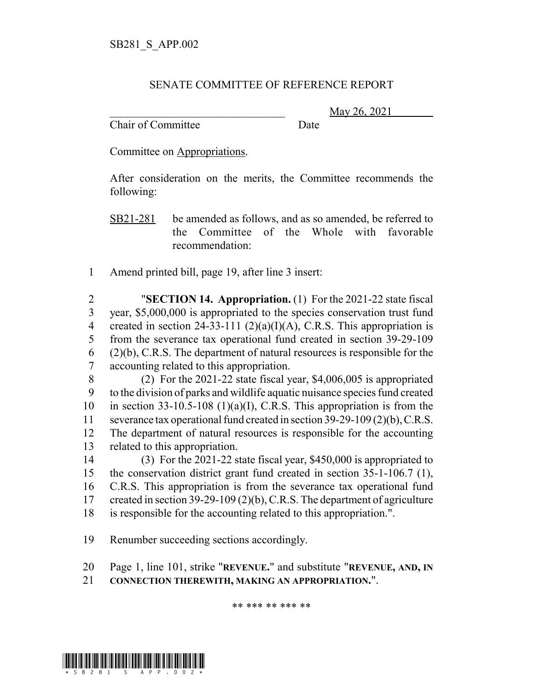## SENATE COMMITTEE OF REFERENCE REPORT

Chair of Committee Date

May 26, 2021

Committee on Appropriations.

After consideration on the merits, the Committee recommends the following:

- SB21-281 be amended as follows, and as so amended, be referred to the Committee of the Whole with favorable recommendation:
- 1 Amend printed bill, page 19, after line 3 insert:

 "**SECTION 14. Appropriation.** (1) For the 2021-22 state fiscal year, \$5,000,000 is appropriated to the species conservation trust fund 4 created in section 24-33-111  $(2)(a)(I)(A)$ , C.R.S. This appropriation is from the severance tax operational fund created in section 39-29-109 (2)(b), C.R.S. The department of natural resources is responsible for the accounting related to this appropriation.

 (2) For the 2021-22 state fiscal year, \$4,006,005 is appropriated to the division of parks and wildlife aquatic nuisance species fund created 10 in section 33-10.5-108 (1)(a)(I), C.R.S. This appropriation is from the severance tax operational fund created in section 39-29-109 (2)(b), C.R.S. The department of natural resources is responsible for the accounting related to this appropriation.

 (3) For the 2021-22 state fiscal year, \$450,000 is appropriated to the conservation district grant fund created in section 35-1-106.7 (1), C.R.S. This appropriation is from the severance tax operational fund created in section 39-29-109 (2)(b), C.R.S. The department of agriculture is responsible for the accounting related to this appropriation.".

19 Renumber succeeding sections accordingly.

20 Page 1, line 101, strike "**REVENUE.**" and substitute "**REVENUE, AND, IN**

21 **CONNECTION THEREWITH, MAKING AN APPROPRIATION.**".

\*\* \*\*\* \*\* \*\*\* \*\*